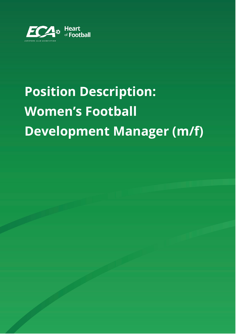

# **Position Description: Women's Football Development Manager (m/f)**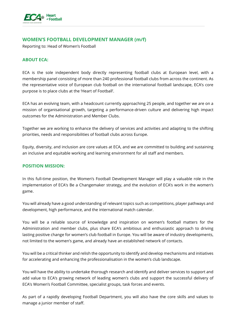

# **WOMEN'S FOOTBALL DEVELOPMENT MANAGER (m/f)**

Reporting to: Head of Women's Football

### **ABOUT ECA:**

ECA is the sole independent body directly representing football clubs at European level, with a membership panel consisting of more than 240 professional football clubs from across the continent. As the representative voice of European club football on the international football landscape, ECA's core purpose is to place clubs at the 'Heart of Football'.

ECA has an evolving team, with a headcount currently approaching 25 people, and together we are on a mission of organisational growth, targeting a performance-driven culture and delivering high impact outcomes for the Administration and Member Clubs.

Together we are working to enhance the delivery of services and activities and adapting to the shifting priorities, needs and responsibilities of football clubs across Europe.

Equity, diversity, and inclusion are core values at ECA, and we are committed to building and sustaining an inclusive and equitable working and learning environment for all staff and members.

#### **POSITION MISSION:**

In this full-time position, the Women's Football Development Manager will play a valuable role in the implementation of ECA's Be a Changemaker strategy, and the evolution of ECA's work in the women's game.

You will already have a good understanding of relevant topics such as competitions, player pathways and development, high performance, and the international match calendar.

You will be a reliable source of knowledge and inspiration on women's football matters for the Administration and member clubs, plus share ECA's ambitious and enthusiastic approach to driving lasting positive change for women's club football in Europe. You will be aware of industry developments, not limited to the women's game, and already have an established network of contacts.

You will be a critical thinker and relish the opportunity to identify and develop mechanisms and initiatives for accelerating and enhancing the professionalisation in the women's club landscape.

You will have the ability to undertake thorough research and identify and deliver services to support and add value to ECA's growing network of leading women's clubs and support the successful delivery of ECA's Women's Football Committee, specialist groups, task forces and events.

As part of a rapidly developing Football Department, you will also have the core skills and values to manage a junior member of staff.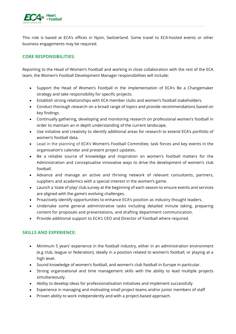

This role is based at ECA's offices in Nyon, Switzerland. Some travel to ECA-hosted events or other business engagements may be required.

# **CORE RESPONSIBILITIES:**

Reporting to the Head of Women's Football and working in close collaboration with the rest of the ECA team, the Women's Football Development Manager responsibilities will include:

- Support the Head of Women's Football in the implementation of ECA's Be a Changemaker strategy and take responsibility for specific projects.
- Establish strong relationships with ECA member clubs and women's football stakeholders.
- Conduct thorough research on a broad range of topics and provide recommendations based on key findings.
- Continually gathering, developing and monitoring research on professional women's football in order to maintain an in depth understanding of the current landscape,
- Use initiative and creativity to identify additional areas for research to extend ECA's portfolio of women's football data.
- Lead in the planning of ECA's Women's Football Committee, task forces and key events in the organisation's calendar and present project updates.
- Be a reliable source of knowledge and inspiration on women's football matters for the Administration and conceptualise innovative ways to drive the development of women's club football.
- Advance and manage an active and thriving network of relevant consultants, partners, suppliers and academics with a special interest in the women's game.
- Launch a 'state of play' club survey at the beginning of each season to ensure events and services are aligned with the game's evolving challenges.
- Proactively identify opportunities to enhance ECA's position as industry thought leaders.
- Undertake some general administrative tasks including detailed minute taking, preparing content for proposals and presentations, and drafting department communication.
- Provide additional support to ECA's CEO and Director of Football where required.

## **SKILLS AND EXPERIENCE:**

- Minimum 5 years' experience in the football industry, either in an administration environment (e.g club, league or federation), ideally in a position related to women's football, or playing at a high level.
- Sound knowledge of women's football, and women's club football in Europe in particular.
- Strong organisational and time management skills with the ability to lead multiple projects simultaneously.
- Ability to develop ideas for professionalisation initiatives and implement successfully
- Experience in managing and motivating small project teams and/or junior members of staff
- Proven ability to work independently and with a project-based approach.